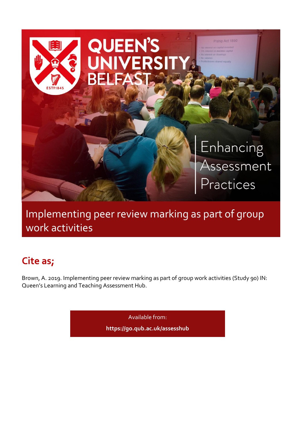

Implementing peer review marking as part of group work activities

# **Cite as;**

Brown, A. 2019. Implementing peer review marking as part of group work activities (Study 90) IN: Queen's Learning and Teaching Assessment Hub.

Available from:

**<https://go.qub.ac.uk/assesshub>**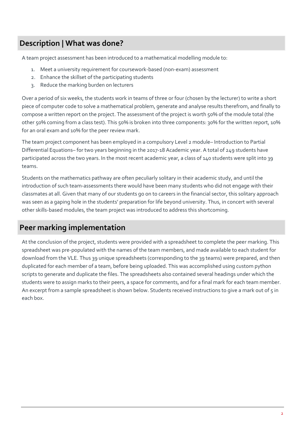### **Description | What was done?**

A team project assessment has been introduced to a mathematical modelling module to:

- 1. Meet a university requirement for coursework-based (non-exam) assessment
- 2. Enhance the skillset of the participating students
- 3. Reduce the marking burden on lecturers

Over a period of six weeks, the students work in teams of three or four (chosen by the lecturer) to write a short piece of computer code to solve a mathematical problem, generate and analyse results therefrom, and finally to compose a written report on the project. The assessment of the project is worth 50% of the module total (the other 50% coming from a class test). This 50% is broken into three components: 30% for the written report, 10% for an oral exam and 10% for the peer review mark.

The team project component has been employed in a compulsory Level 2 module– Introduction to Partial Differential Equations– for two years beginning in the 2017-18 Academic year. A total of 249 students have participated across the two years. In the most recent academic year, a class of 140 students were split into 39 teams.

Students on the mathematics pathway are often peculiarly solitary in their academic study, and until the introduction of such team-assessments there would have been many students who did not engage with their classmates at all. Given that many of our students go on to careers in the financial sector, this solitary approach was seen as a gaping hole in the students' preparation for life beyond university. Thus, in concert with several other skills-based modules, the team project was introduced to address this shortcoming.

### **Peer marking implementation**

At the conclusion of the project, students were provided with a spreadsheet to complete the peer marking. This spreadsheet was pre-populated with the names of the team members, and made available to each student for download from the VLE. Thus 39 unique spreadsheets (corresponding to the 39 teams) were prepared, and then duplicated for each member of a team, before being uploaded. This was accomplished using custom python scripts to generate and duplicate the files. The spreadsheets also contained several headings under which the students were to assign marks to their peers, a space for comments, and for a final mark for each team member. An excerpt from a sample spreadsheet is shown below. Students received instructions to give a mark out of 5 in each box.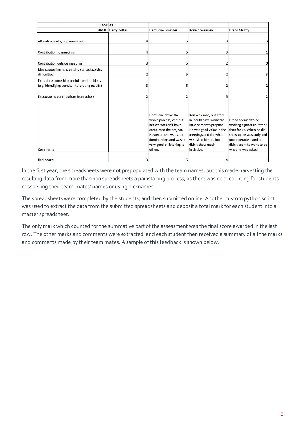| TEAM: A1                                                                                      |                    |                                                                                                                                                                                             |                                                                                                                                                                                                  |                                                                                                                                                                                     |
|-----------------------------------------------------------------------------------------------|--------------------|---------------------------------------------------------------------------------------------------------------------------------------------------------------------------------------------|--------------------------------------------------------------------------------------------------------------------------------------------------------------------------------------------------|-------------------------------------------------------------------------------------------------------------------------------------------------------------------------------------|
|                                                                                               | NAME: Harry Potter | <b>Hermione Grainger</b>                                                                                                                                                                    | <b>Ronald Weasley</b>                                                                                                                                                                            | <b>Draco Malfoy</b>                                                                                                                                                                 |
| Attendance at group meetings                                                                  | 4                  | 5                                                                                                                                                                                           | 3                                                                                                                                                                                                | $\overline{\mathbf{3}}$                                                                                                                                                             |
| Contribution to meetings                                                                      |                    | 5                                                                                                                                                                                           | 3                                                                                                                                                                                                | $\mathbf 1$                                                                                                                                                                         |
| Contribution outside meetings                                                                 | 3                  | 5                                                                                                                                                                                           | 2                                                                                                                                                                                                | $\Omega$                                                                                                                                                                            |
| Idea suggesting (e.g. getting started, solving<br>difficulties)                               | 2                  | 5                                                                                                                                                                                           | 2                                                                                                                                                                                                | $\overline{\mathbf{3}}$                                                                                                                                                             |
| Extracting something useful from the ideas<br>(e.g. identifying trends, interpreting results) | 3                  | 5                                                                                                                                                                                           |                                                                                                                                                                                                  | $\overline{2}$                                                                                                                                                                      |
| Encouraging contributions from others                                                         | 2                  | $\overline{2}$                                                                                                                                                                              | 5                                                                                                                                                                                                | $2 \mid$                                                                                                                                                                            |
| <b>Comments</b>                                                                               |                    | Hermione drove the<br>whole process, without<br>her we wouldn't have<br>completed the project.<br>However, she was a bit<br>domineering, and wasn't<br>very good at listening to<br>others. | Ron was solid, but I feel<br>he could have worked a<br>little harder to prepare.<br>He was good value in the<br>meetings and did what<br>we asked him to, but<br>didn't show much<br>initiative. | Draco seemed to be<br>working against us rather<br>than for us. When he did<br>show up he was surly and<br>uncooperative, and he<br>didn't seem to want to do<br>what he was asked. |
| final score:                                                                                  | 3                  | 5                                                                                                                                                                                           | 4                                                                                                                                                                                                | 1                                                                                                                                                                                   |

In the first year, the spreadsheets were not prepopulated with the team names, but this made harvesting the resulting data from more than 100 spreadsheets a painstaking process, as there was no accounting for students misspelling their team-mates' names or using nicknames.

The spreadsheets were completed by the students, and then submitted online. Another custom python script was used to extract the data from the submitted spreadsheets and deposit a total mark for each student into a master spreadsheet.

The only mark which counted for the summative part of the assessment was the final score awarded in the last row. The other marks and comments were extracted, and each student then received a summary of all the marks and comments made by their team mates. A sample of this feedback is shown below.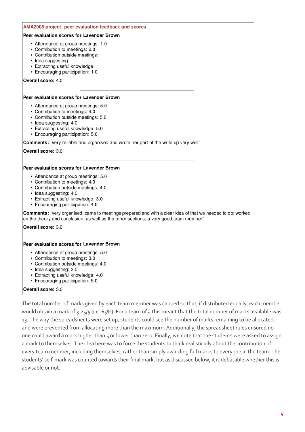#### AMA2008 project: peer evaluation feedback and scores

#### Peer evaluation scores for Lavender Brown

- Attendance at group meetings: 1.0
- Contribution to meetings: 2.0
- Contribution outside meetings:
- · Idea suggesting:
- Extracting useful knowledge:
- Encouraging participation: 1.0

Overall score: 4.0

#### Peer evaluation scores for Lavender Brown

- Attendance at group meetings: 5.0
- Contribution to meetings: 4.0
- Contribution outside meetings: 5.0
- · Idea suggesting: 4.0
- Extracting useful knowledge: 5.0
- · Encouraging participation: 5.0

Comments: 'Very reliable and organised and wrote her part of the write up very well.'

Overall score: 3.0

#### Peer evaluation scores for Lavender Brown

- Attendance at group meetings: 5.0
- Contribution to meetings: 4.0
- Contribution outside meetings: 4.0
- · Idea suggesting: 4.0
- Extracting useful knowledge: 3.0
- Encouraging participation: 4.0

**Comments:** 'Very organised; came to meetings prepared and with a clear idea of that we needed to do; worked on the theory and conclusion, as well as the other sections; a very good team member.

Overall score: 3.0

#### Peer evaluation scores for Lavender Brown

- Attendance at group meetings: 5.0
- Contribution to meetings: 3.0
- Contribution outside meetings: 4.0
- · Idea suggesting: 3.0
- Extracting useful knowledge: 4.0
- Encouraging participation: 5.0

#### Overall score: 3.0

The total number of marks given by each team member was capped so that, if distributed equally, each member would obtain a mark of 3.25/5 (i.e. 65%). For a team of 4 this meant that the total number of marks available was 13. The way the spreadsheets were set up, students could see the number of marks remaining to be allocated, and were prevented from allocating more than the maximum. Additionally, the spreadsheet rules ensured noone could award a mark higher than 5 or lower than zero. Finally, we note that the students were asked to assign a mark to themselves. The idea here was to force the students to think realistically about the contribution of every team member, including themselves, rather than simply awarding full marks to everyone in the team. The students' self-mark was counted towards their final mark, but as discussed below, it is debatable whether this is advisable or not.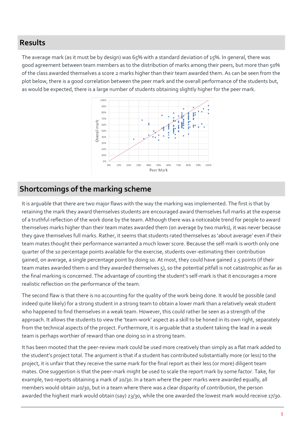### **Results**

The average mark (as it must be by design) was 65% with a standard deviation of 15%. In general, there was good agreement between team members as to the distribution of marks among their peers, but more than 50% of the class awarded themselves a score 2 marks higher than their team awarded them. As can be seen from the plot below, there is a good correlation between the peer mark and the overall performance of the students but, as would be expected, there is a large number of students obtaining slightly higher for the peer mark.



## **Shortcomings of the marking scheme**

It is arguable that there are two major flaws with the way the marking was implemented. The first is that by retaining the mark they award themselves students are encouraged award themselves full marks at the expense of a truthful reflection of the work done by the team. Although there was a noticeable trend for people to award themselves marks higher than their team mates awarded them (on average by two marks), it was never because they gave themselves full marks. Rather, it seems that students rated themselves as 'about average' even if their team mates thought their performance warranted a much lower score. Because the self-mark is worth only one quarter of the 10 percentage points available for the exercise, students over-estimating their contribution gained, on average, a single percentage point by doing so. At most, they could have gained 2.5 points (if their team mates awarded them 0 and they awarded themselves 5), so the potential pitfall is not catastrophic as far as the final marking is concerned. The advantage of counting the student's self-mark is that it encourages a more realistic reflection on the performance of the team.

The second flaw is that there is no accounting for the quality of the work being done. It would be possible (and indeed quite likely) for a strong student in a strong team to obtain a lower mark than a relatively weak student who happened to find themselves in a weak team. However, this could rather be seen as a strength of the approach. It allows the students to view the 'team-work' aspect as a skill to be honed in its own right, separately from the technical aspects of the project. Furthermore, it is arguable that a student taking the lead in a weak team is perhaps worthier of reward than one doing so in a strong team.

It has been mooted that the peer-review mark could be used more creatively than simply as a flat mark added to the student's project total. The argument is that if a student has contributed substantially more (or less) to the project, it is unfair that they receive the same mark for the final report as their less (or more) diligent team mates. One suggestion is that the peer-mark might be used to scale the report mark by some factor. Take, for example, two reports obtaining a mark of 20/30. In a team where the peer marks were awarded equally, all members would obtain 20/30, but in a team where there was a clear disparity of contribution, the person awarded the highest mark would obtain (say) 23/30, while the one awarded the lowest mark would receive 17/30.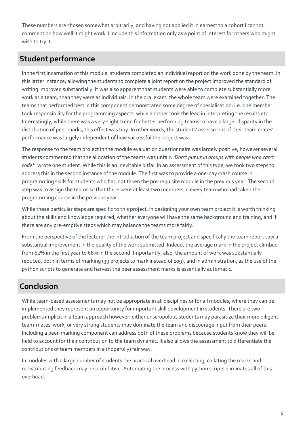These numbers are chosen somewhat arbitrarily, and having not applied it in earnest to a cohort I cannot comment on how well it might work. I include this information only as a point of interest for others who might wish to try it.

# **Student performance**

In the first incarnation of this module, students completed an individual report on the work done by the team. In this latter instance, allowing the students to complete a joint report on the project improved the standard of writing improved substantially. It was also apparent that students were able to complete substantially more work as a team, than they were as individuals. In the oral exam, the whole team were examined together. The teams that performed best in this component demonstrated some degree of specialisation: i.e. one member took responsibility for the programming aspects, while another took the lead in interpreting the results etc. Interestingly, while there was a very slight trend for better performing teams to have a larger disparity in the distribution of peer marks, this effect was tiny. In other words, the students' assessment of their team mates' performance was largely independent of how successful the project was.

The response to the team project in the module evaluation questionnaire was largely positive, however several students commented that the allocation of the teams was unfair: *'Don't put us in groups with people who can't code!'* wrote one student. While this is an inevitable pitfall in an assessment of this type, we took two steps to address this in the second instance of the module. The first was to provide a one-day crash course in programming skills for students who had not taken the pre-requisite module in the previous year. The second step was to assign the teams so that there were at least two members in every team who had taken the programming course in the previous year.

While these particular steps are specific to this project, in designing your own team project it is worth thinking about the skills and knowledge required, whether everyone will have the same background and training, and if there are any pre-emptive steps which may balance the teams more fairly.

From the perspective of the lecturer the introduction of the team project and specifically the team report saw a substantial improvement in the quality of the work submitted. Indeed, the average mark in the project climbed from 62% in the first year to 68% in the second. Importantly, also, the amount of work was substantially reduced, both in terms of marking (39 projects to mark instead of 109), and in administration, as the use of the python scripts to generate and harvest the peer assessment marks is essentially automatic.

# **Conclusion**

While team-based assessments may not be appropriate in all disciplines or for all modules, where they can be implemented they represent an opportunity for important skill development in students. There are two problems implicit in a team approach however: either unscrupulous students may parasitize their more diligent team-mates' work, or very strong students may dominate the team and discourage input from their peers. Including a peer-marking component can address both of these problems because students know they will be held to account for their contribution to the team dynamic. It also allows the assessment to differentiate the contributions of team members in a (hopefully) fair way,

In modules with a large number of students the practical overhead in collecting, collating the marks and redistributing feedback may be prohibitive. Automating the process with python scripts eliminates all of this overhead.